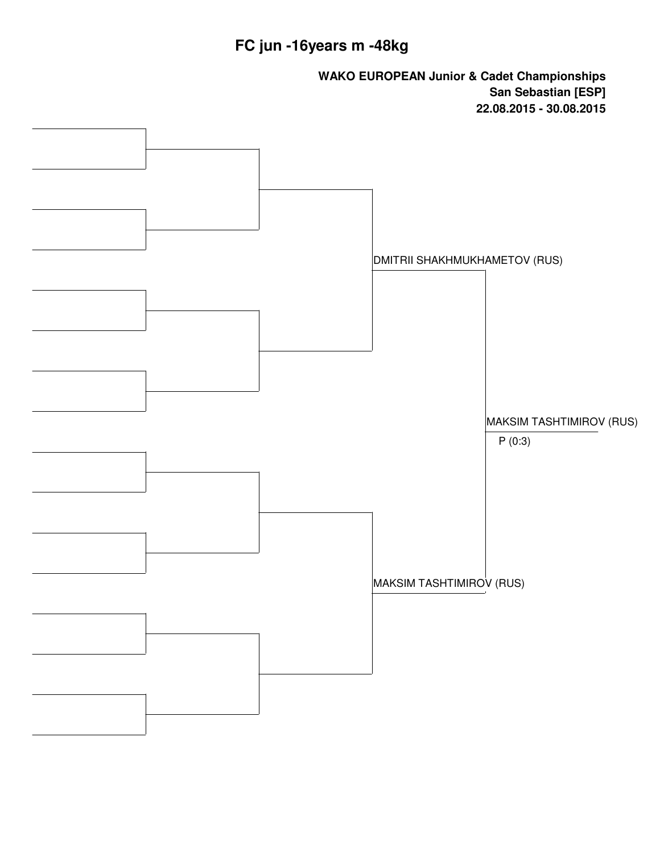# **FC jun -16years m -48kg**

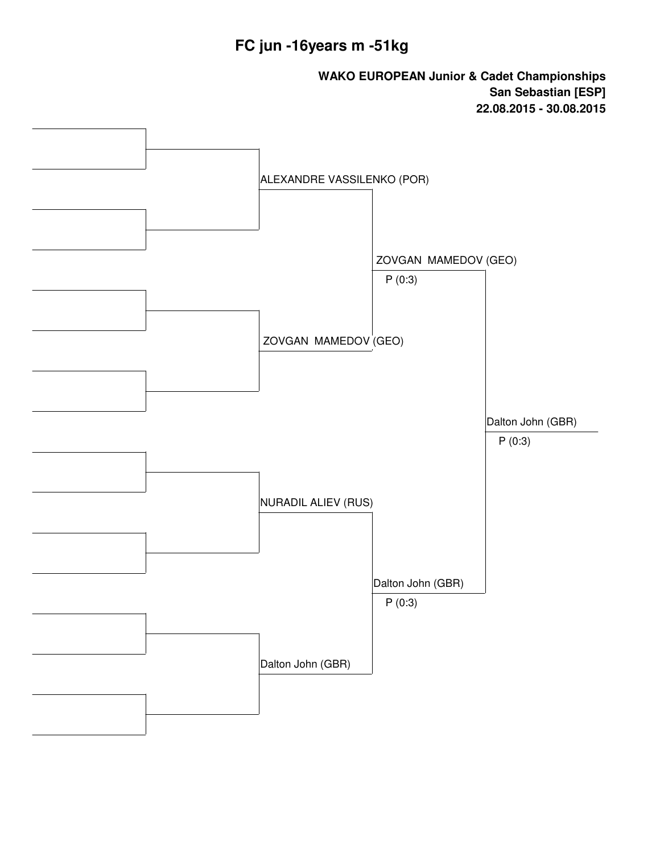#### **FC jun -16years m -51kg**

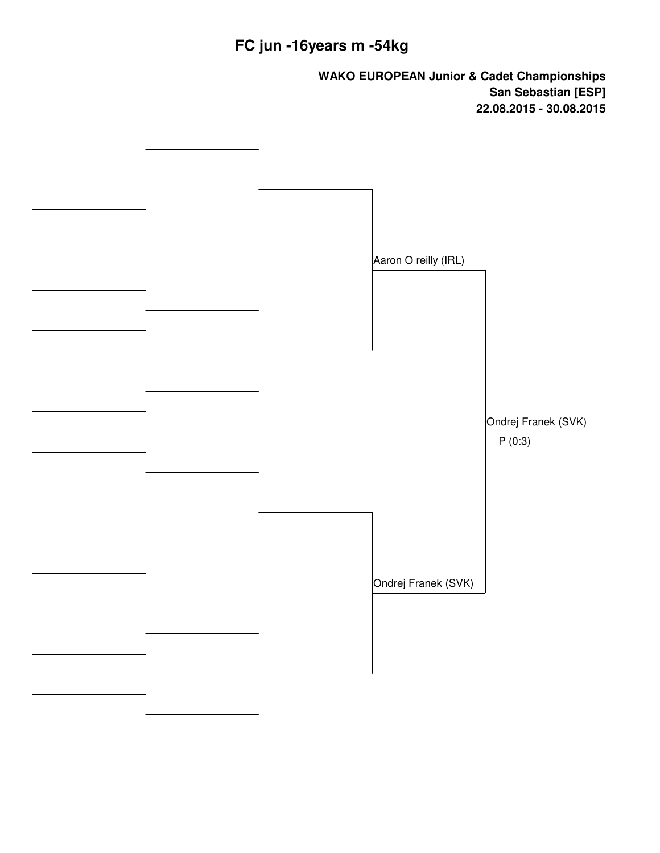# **FC jun -16years m -54kg**

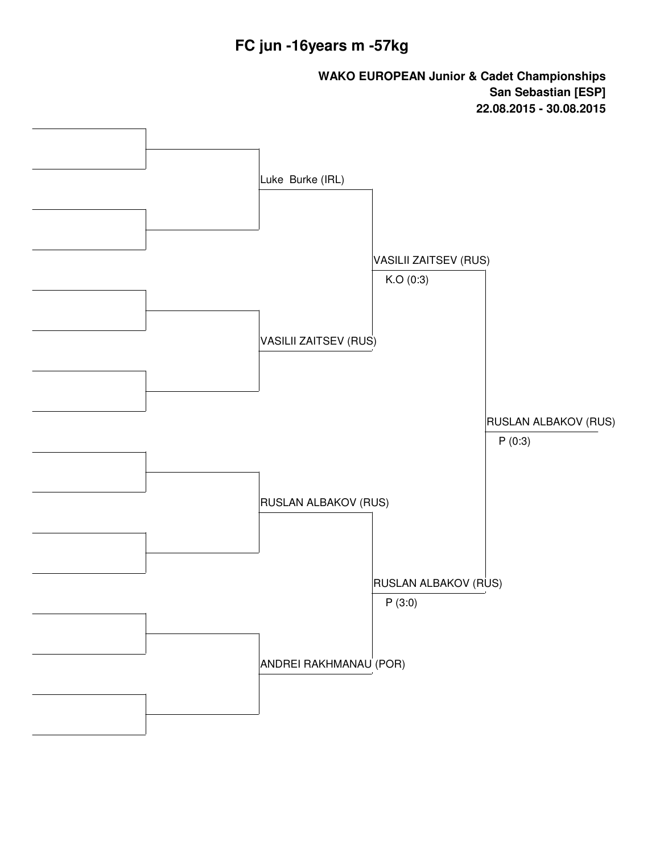#### **FC jun -16years m -57kg**

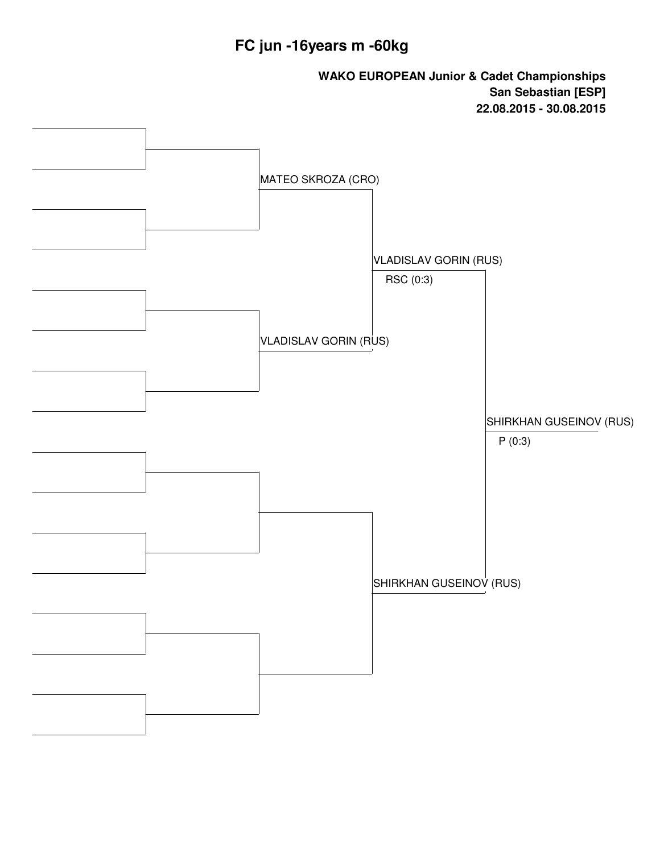#### **FC jun -16years m -60kg**

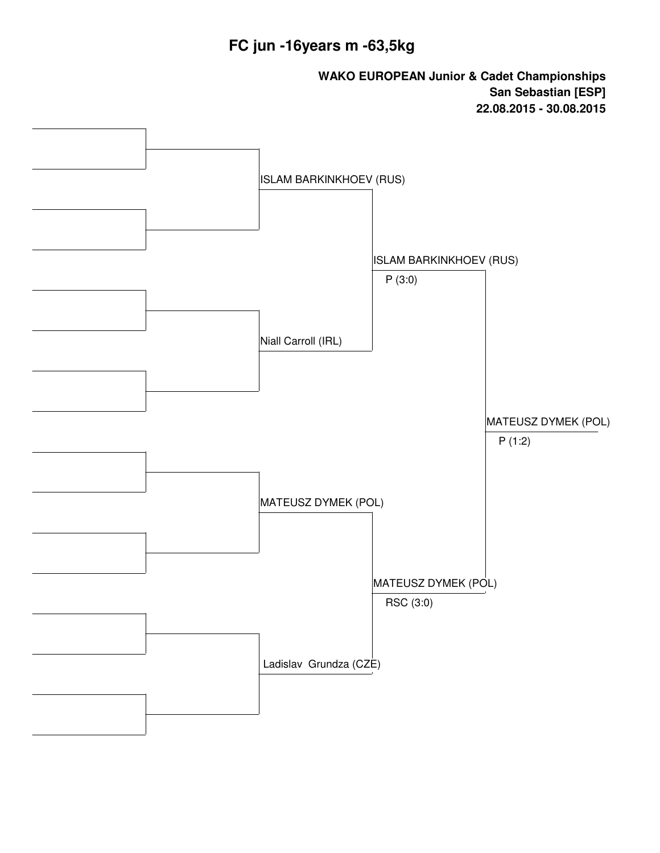#### **FC jun -16years m -63,5kg**

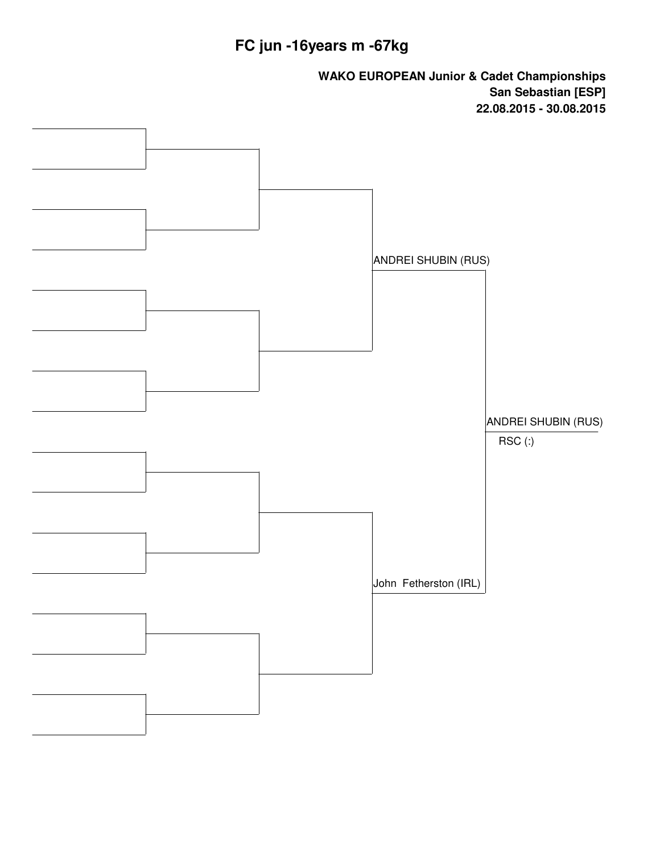# **FC jun -16years m -67kg**

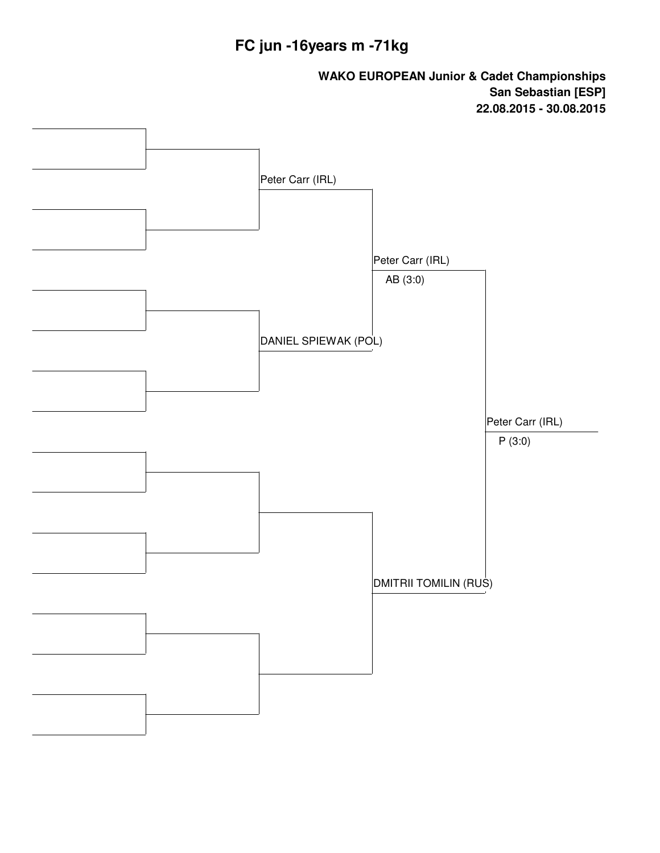#### **FC jun -16years m -71kg**

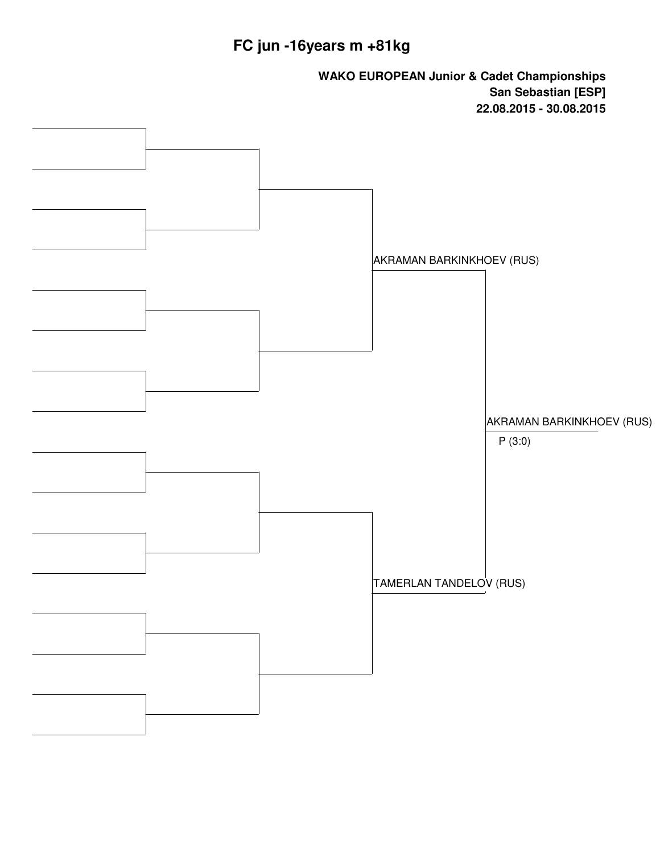# **FC jun -16years m +81kg**

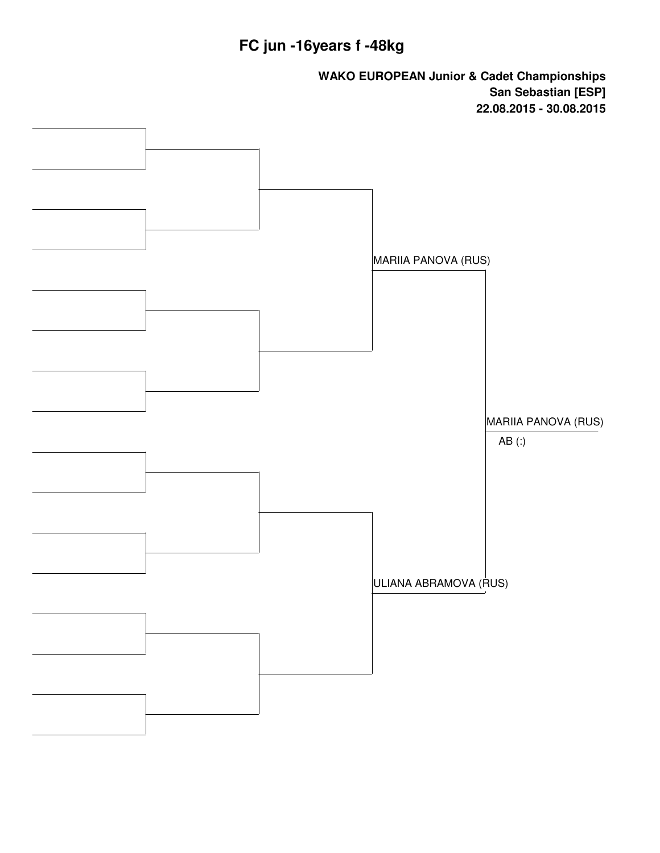#### **FC jun -16years f -48kg**

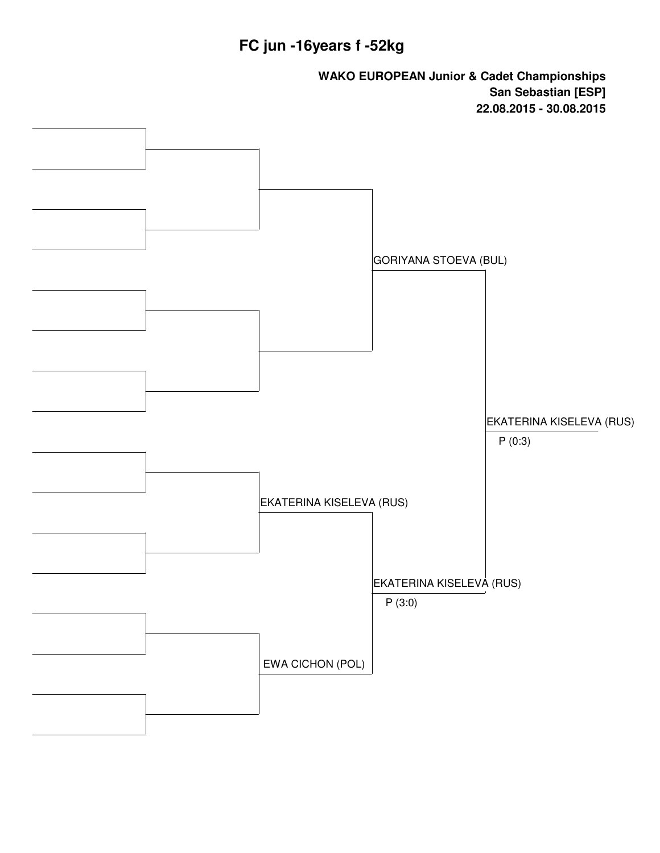#### **FC jun -16years f -52kg**

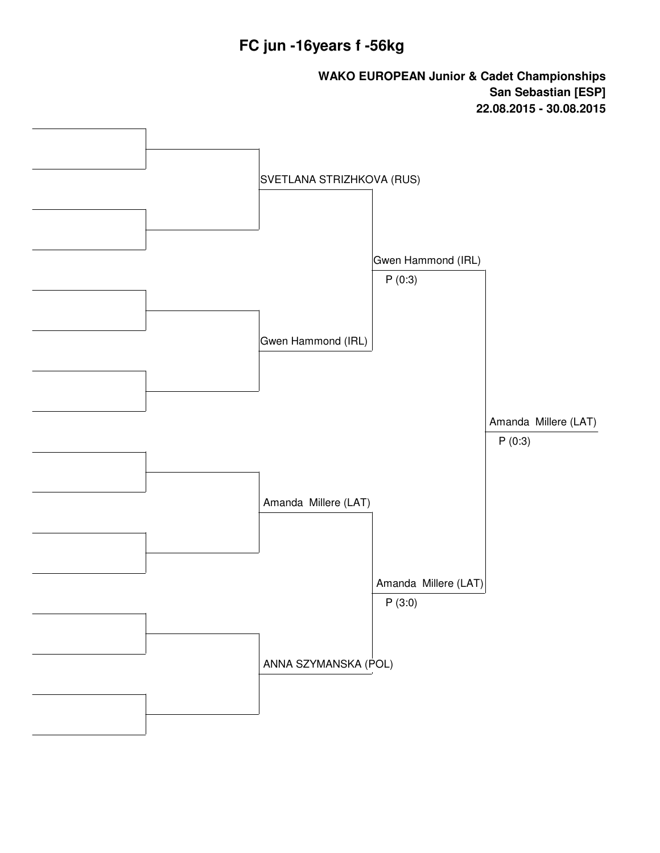#### **FC jun -16years f -56kg**

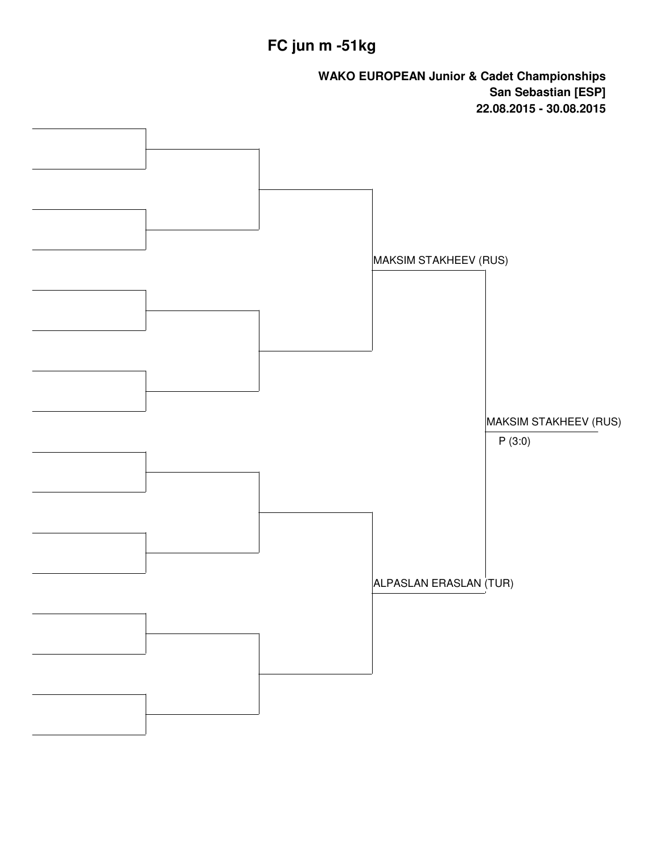# **FC jun m -51kg**

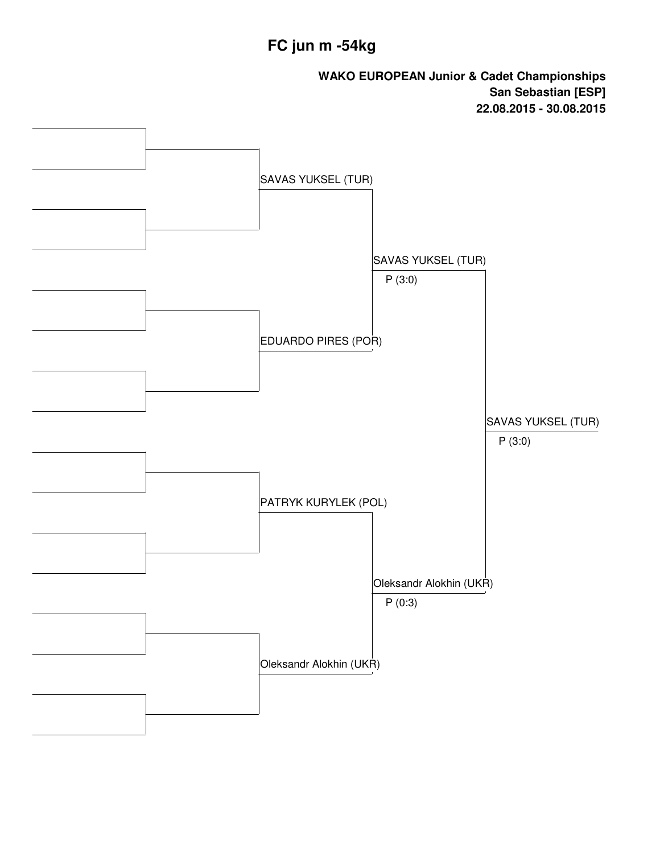# **FC jun m -54kg**

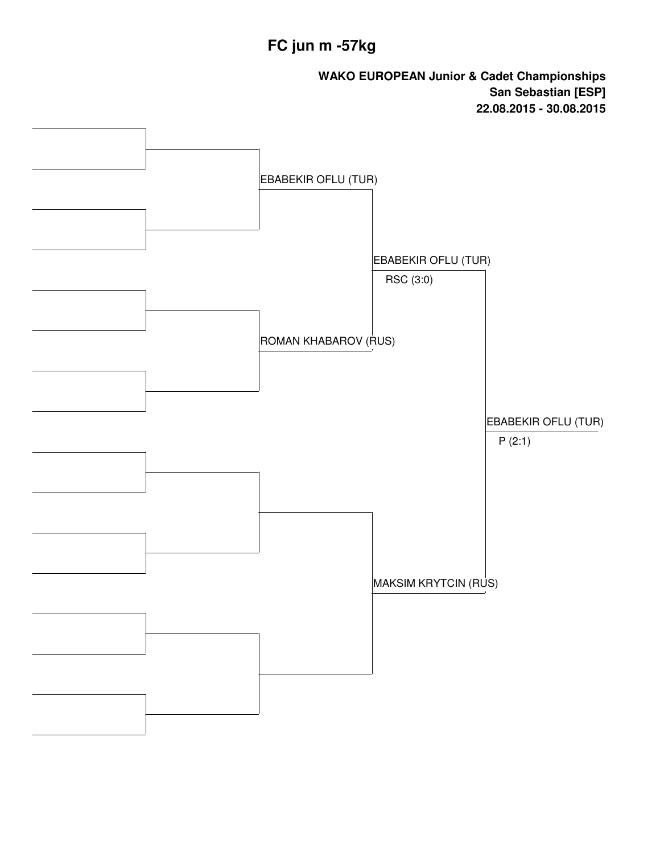# **FC jun m -57kg**

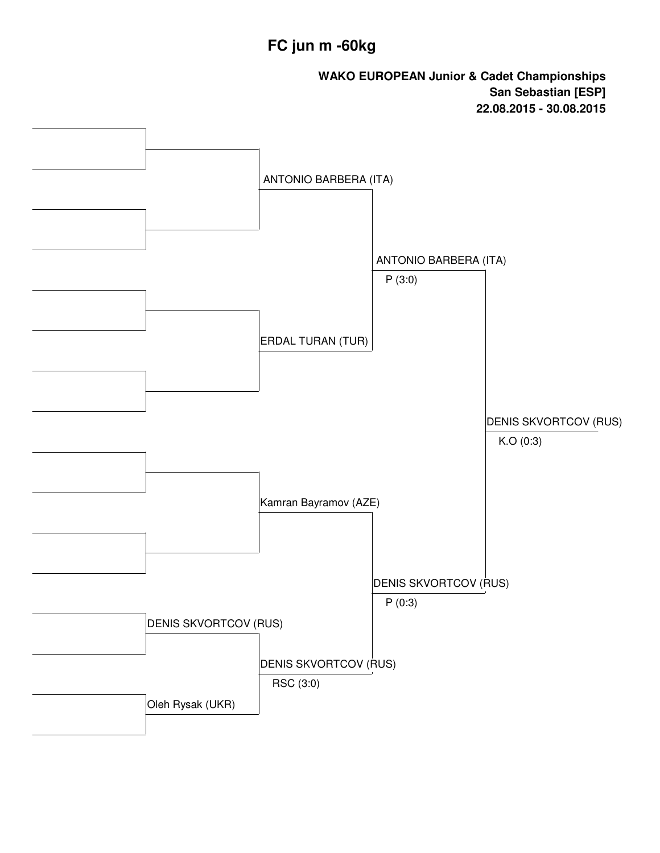# **FC jun m -60kg**

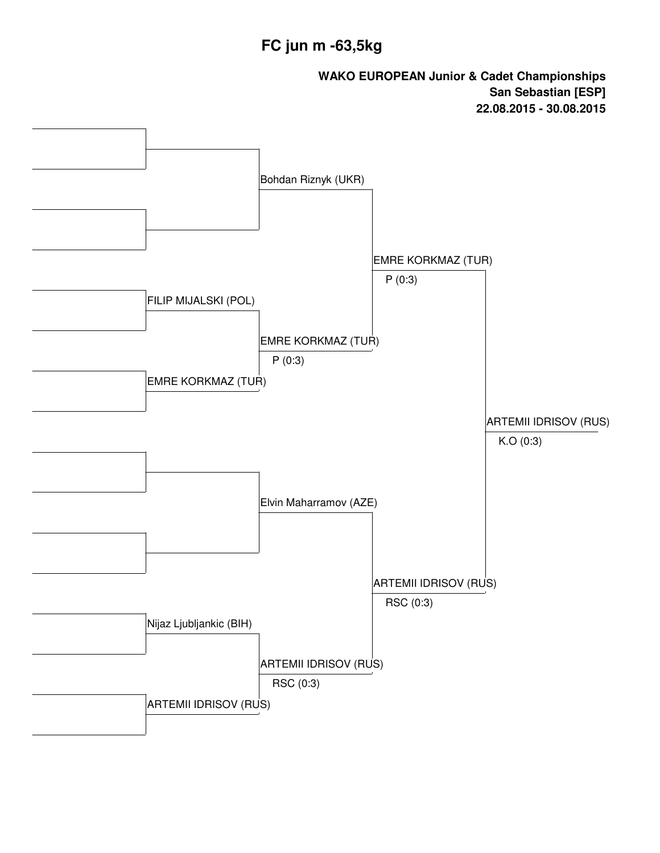# **FC jun m -63,5kg**

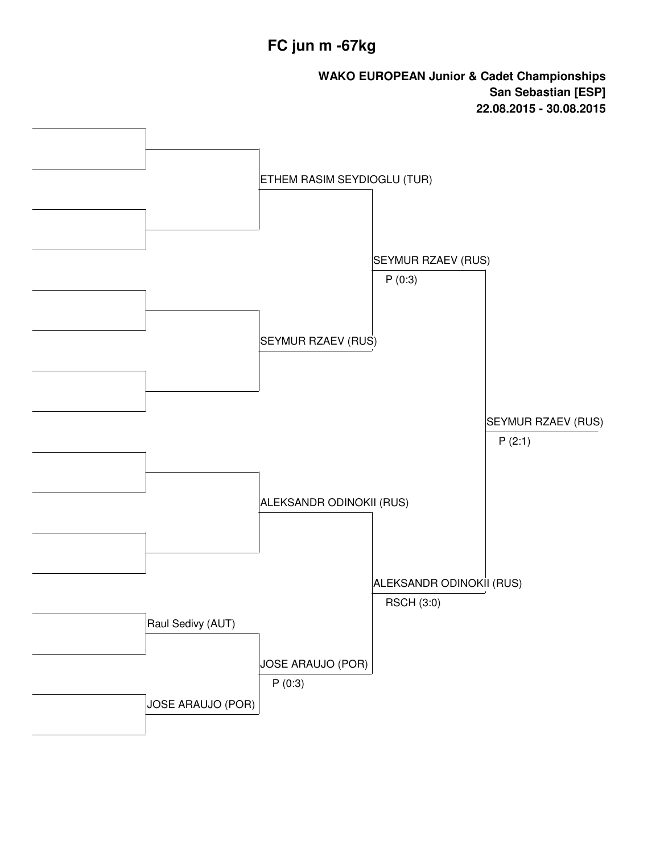# **FC jun m -67kg**

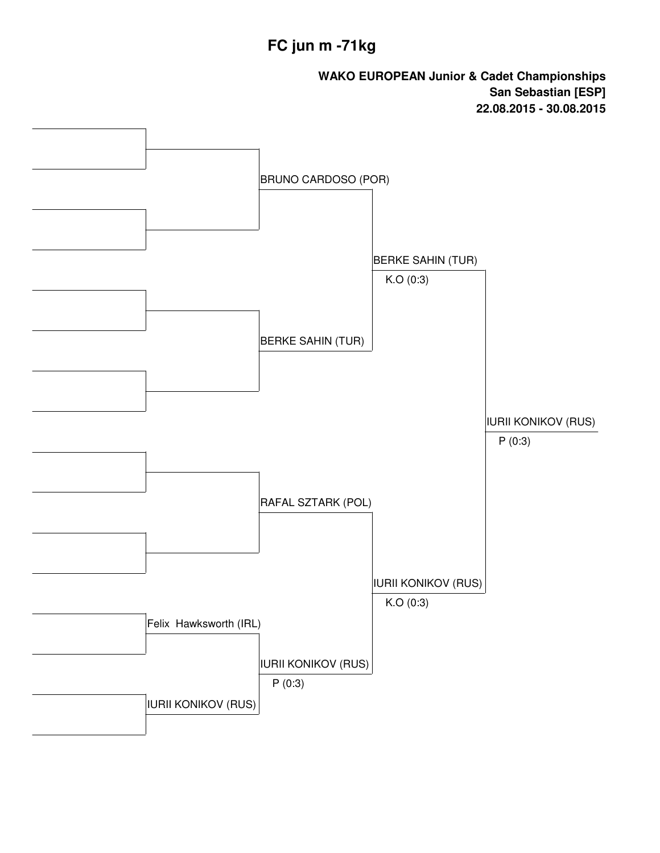# **FC jun m -71kg**

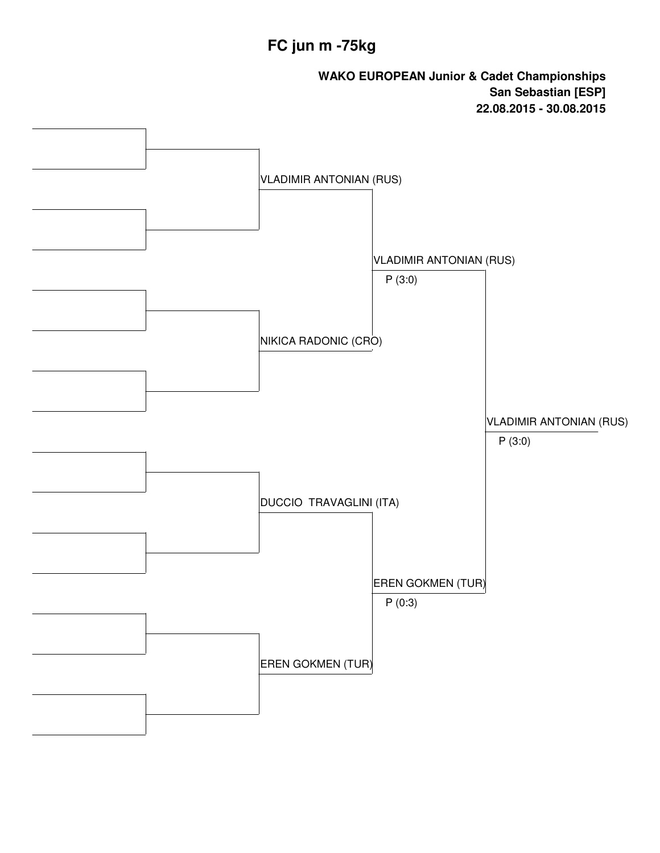# **FC jun m -75kg**

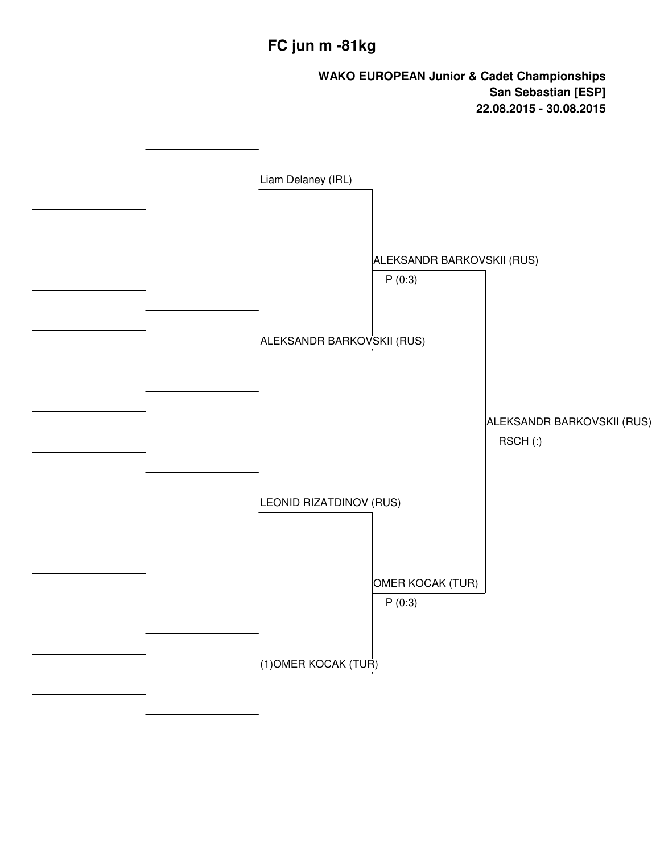# **FC jun m -81kg**

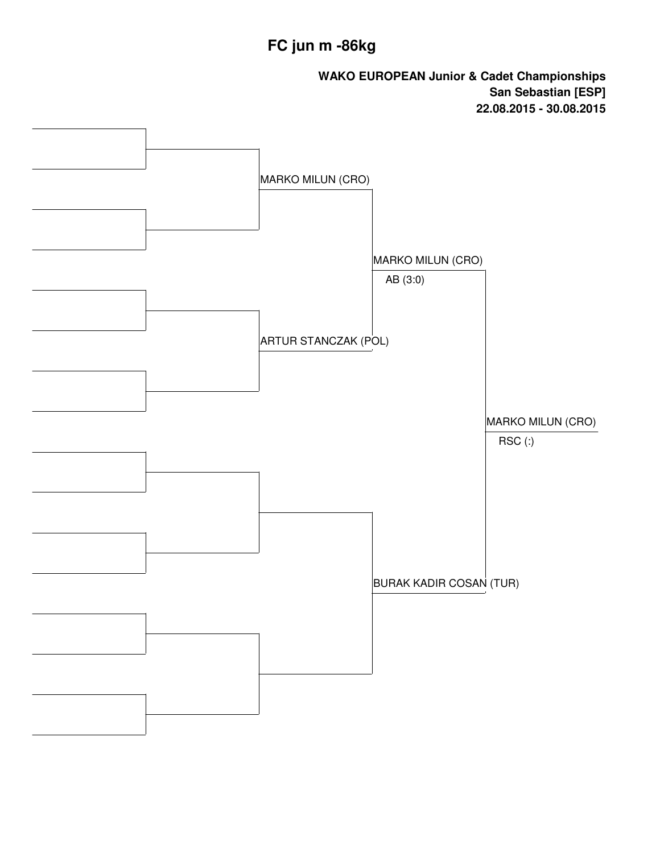# **FC jun m -86kg**

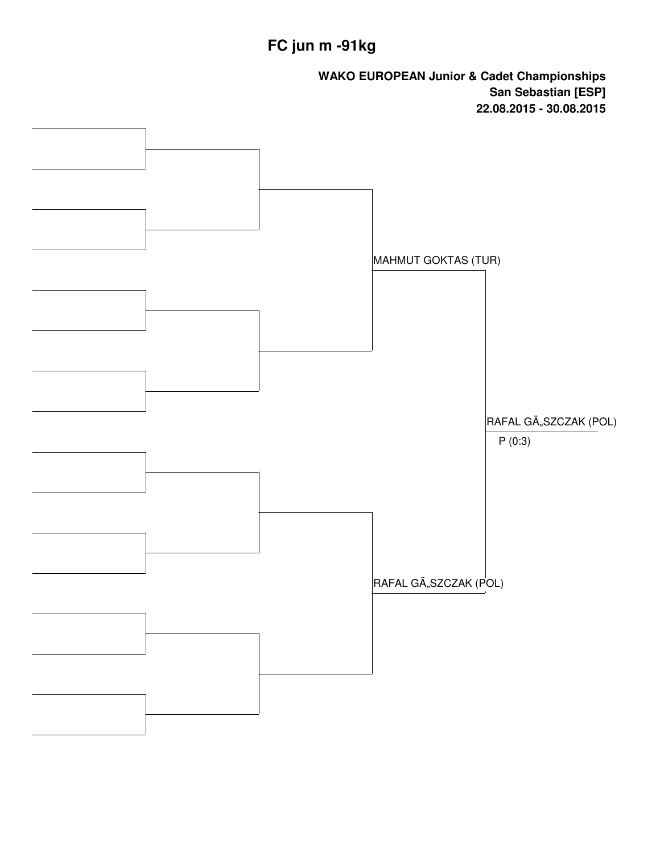# **FC jun m -91kg**

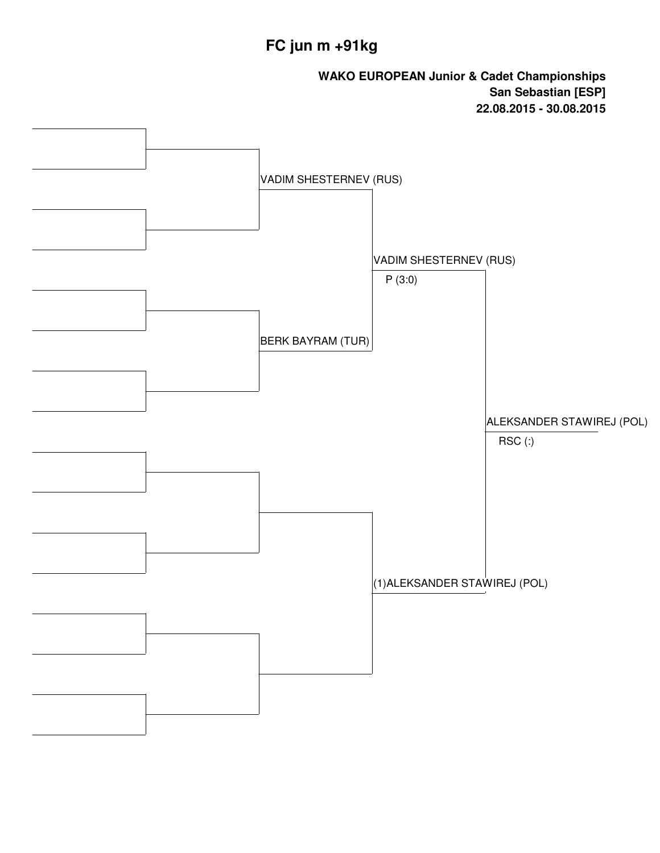# **FC jun m +91kg**

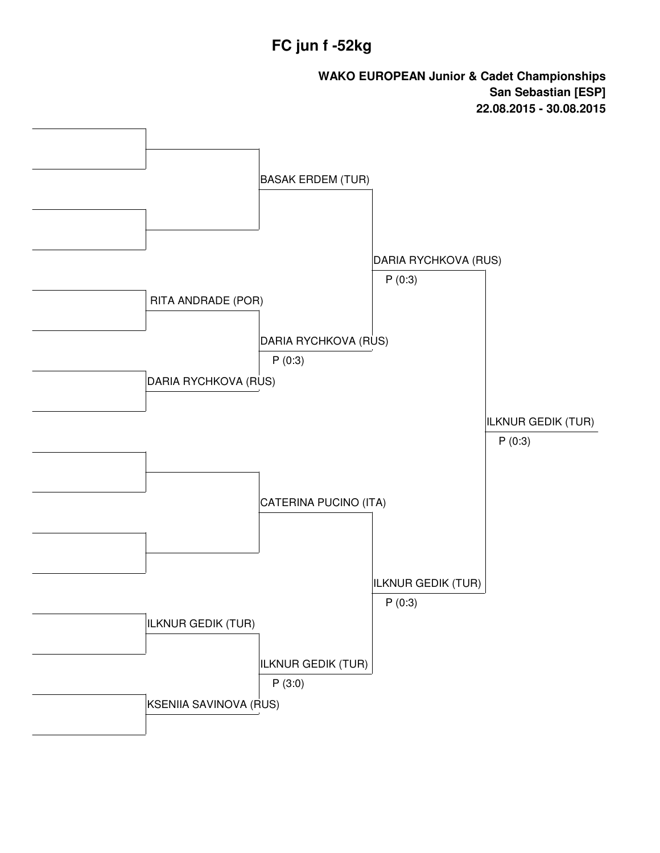#### **FC jun f -52kg**

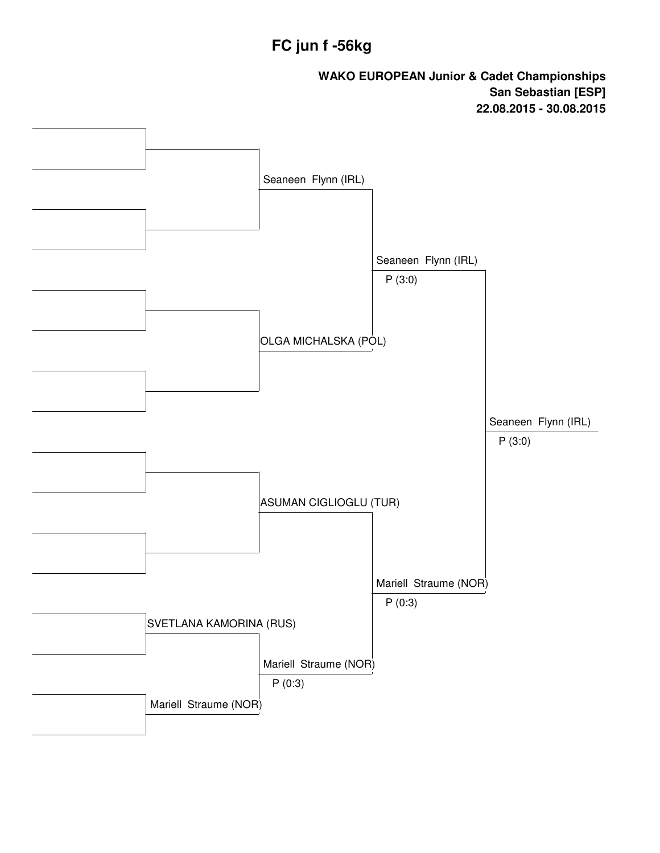#### **FC jun f -56kg**

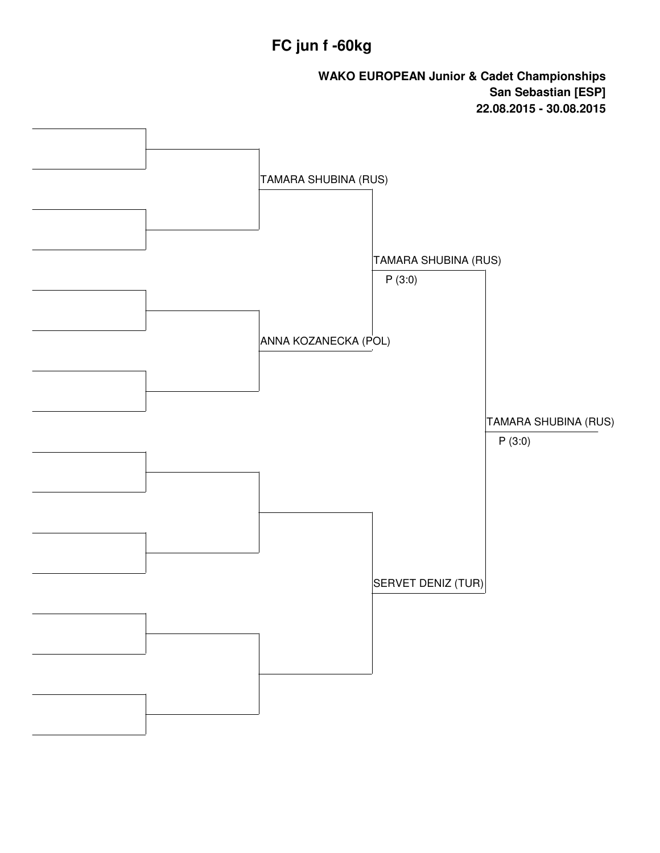# **FC jun f -60kg**

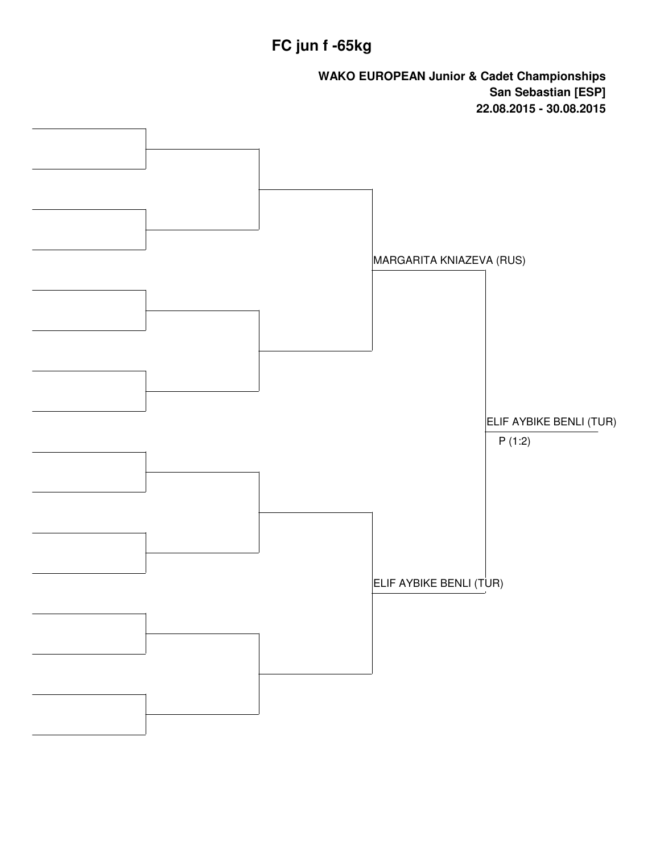# **FC jun f -65kg**

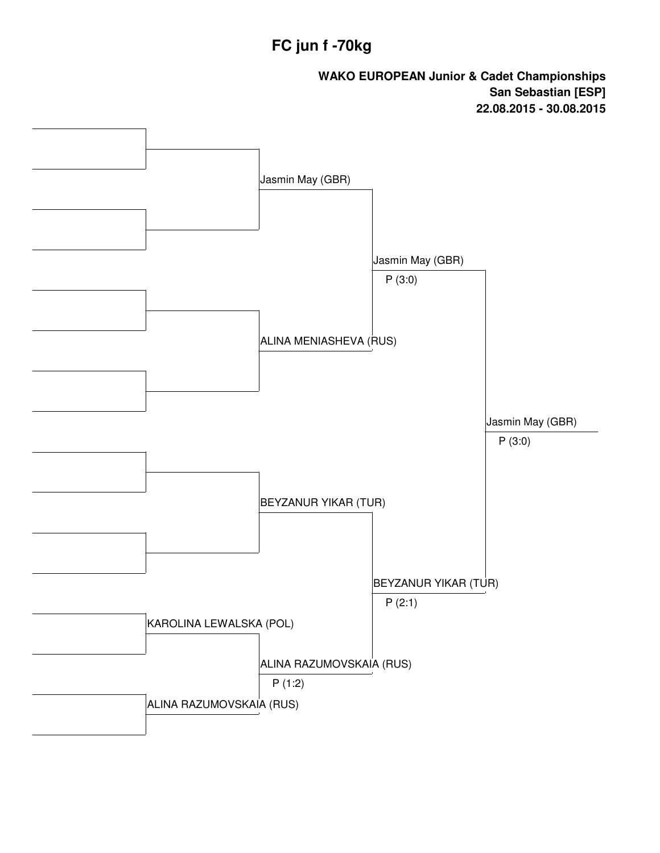#### **FC jun f -70kg**

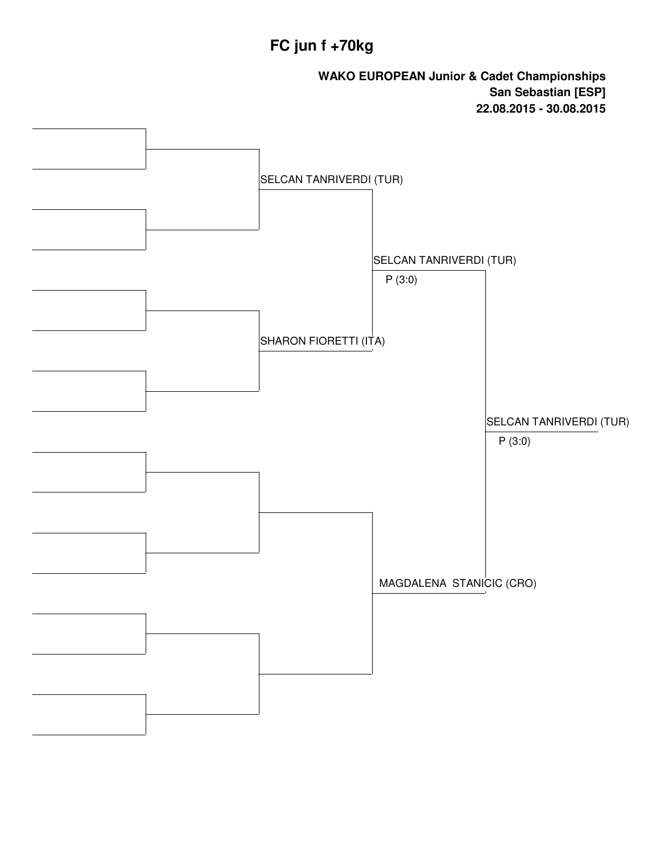## **FC jun f +70kg**